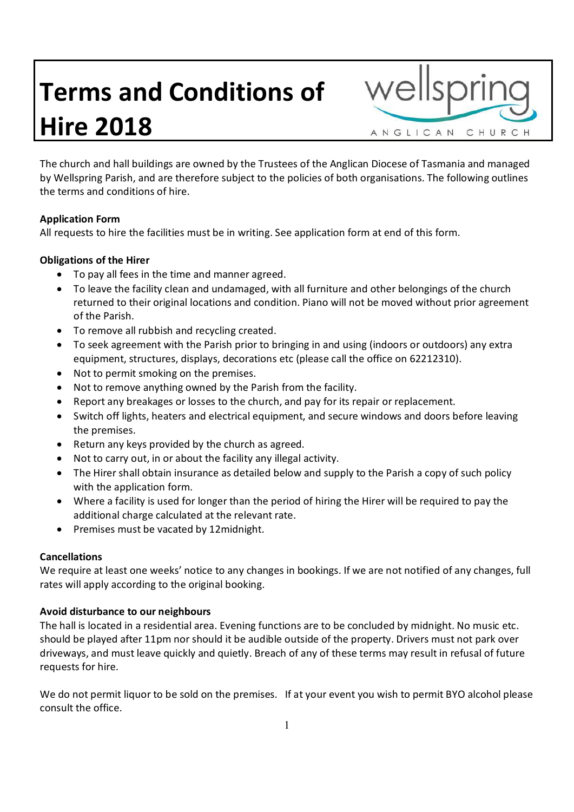# **Terms and Conditions of Hire 2018**

ANGLICAN CHURCH

The church and hall buildings are owned by the Trustees of the Anglican Diocese of Tasmania and managed by Wellspring Parish, and are therefore subject to the policies of both organisations. The following outlines the terms and conditions of hire.

# **Application Form**

All requests to hire the facilities must be in writing. See application form at end of this form.

# **Obligations of the Hirer**

- · To pay all fees in the time and manner agreed.
- · To leave the facility clean and undamaged, with all furniture and other belongings of the church returned to their original locations and condition. Piano will not be moved without prior agreement of the Parish.
- · To remove all rubbish and recycling created.
- · To seek agreement with the Parish prior to bringing in and using (indoors or outdoors) any extra equipment, structures, displays, decorations etc (please call the office on 62212310).
- · Not to permit smoking on the premises.
- · Not to remove anything owned by the Parish from the facility.
- · Report any breakages or losses to the church, and pay for its repair or replacement.
- · Switch off lights, heaters and electrical equipment, and secure windows and doors before leaving the premises.
- · Return any keys provided by the church as agreed.
- · Not to carry out, in or about the facility any illegal activity.
- The Hirer shall obtain insurance as detailed below and supply to the Parish a copy of such policy with the application form.
- · Where a facility is used for longer than the period of hiring the Hirer will be required to pay the additional charge calculated at the relevant rate.
- · Premises must be vacated by 12midnight.

# **Cancellations**

We require at least one weeks' notice to any changes in bookings. If we are not notified of any changes, full rates will apply according to the original booking.

# **Avoid disturbance to our neighbours**

The hall is located in a residential area. Evening functions are to be concluded by midnight. No music etc. should be played after 11pm nor should it be audible outside of the property. Drivers must not park over driveways, and must leave quickly and quietly. Breach of any of these terms may result in refusal of future requests for hire.

We do not permit liquor to be sold on the premises. If at your event you wish to permit BYO alcohol please consult the office.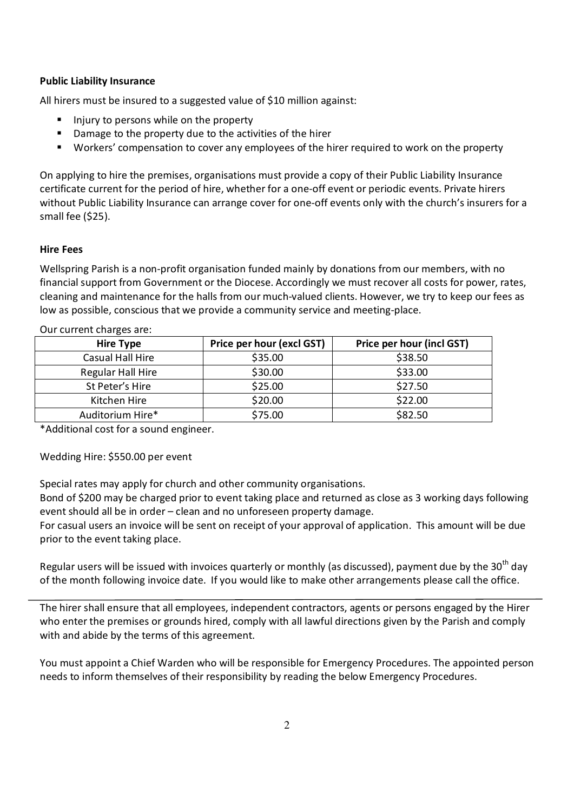## **Public Liability Insurance**

All hirers must be insured to a suggested value of \$10 million against:

- **Injury to persons while on the property**
- $\blacksquare$  Damage to the property due to the activities of the hirer
- **Workers' compensation to cover any employees of the hirer required to work on the property**

On applying to hire the premises, organisations must provide a copy of their Public Liability Insurance certificate current for the period of hire, whether for a one-off event or periodic events. Private hirers without Public Liability Insurance can arrange cover for one-off events only with the church's insurers for a small fee (\$25).

## **Hire Fees**

Wellspring Parish is a non-profit organisation funded mainly by donations from our members, with no financial support from Government or the Diocese. Accordingly we must recover all costs for power, rates, cleaning and maintenance for the halls from our much-valued clients. However, we try to keep our fees as low as possible, conscious that we provide a community service and meeting-place.

| <b>Hire Type</b>  | Price per hour (excl GST) | <b>Price per hour (incl GST)</b> |
|-------------------|---------------------------|----------------------------------|
| Casual Hall Hire  | \$35.00                   | \$38.50                          |
| Regular Hall Hire | \$30.00                   | \$33.00                          |
| St Peter's Hire   | \$25.00                   | \$27.50                          |
| Kitchen Hire      | \$20.00                   | \$22.00                          |
| Auditorium Hire*  | \$75.00                   | \$82.50                          |

Our current charges are:

\*Additional cost for a sound engineer.

Wedding Hire: \$550.00 per event

Special rates may apply for church and other community organisations.

Bond of \$200 may be charged prior to event taking place and returned as close as 3 working days following event should all be in order – clean and no unforeseen property damage.

For casual users an invoice will be sent on receipt of your approval of application. This amount will be due prior to the event taking place.

Regular users will be issued with invoices quarterly or monthly (as discussed), payment due by the 30<sup>th</sup> day of the month following invoice date. If you would like to make other arrangements please call the office.

The hirer shall ensure that all employees, independent contractors, agents or persons engaged by the Hirer who enter the premises or grounds hired, comply with all lawful directions given by the Parish and comply with and abide by the terms of this agreement.

You must appoint a Chief Warden who will be responsible for Emergency Procedures. The appointed person needs to inform themselves of their responsibility by reading the below Emergency Procedures.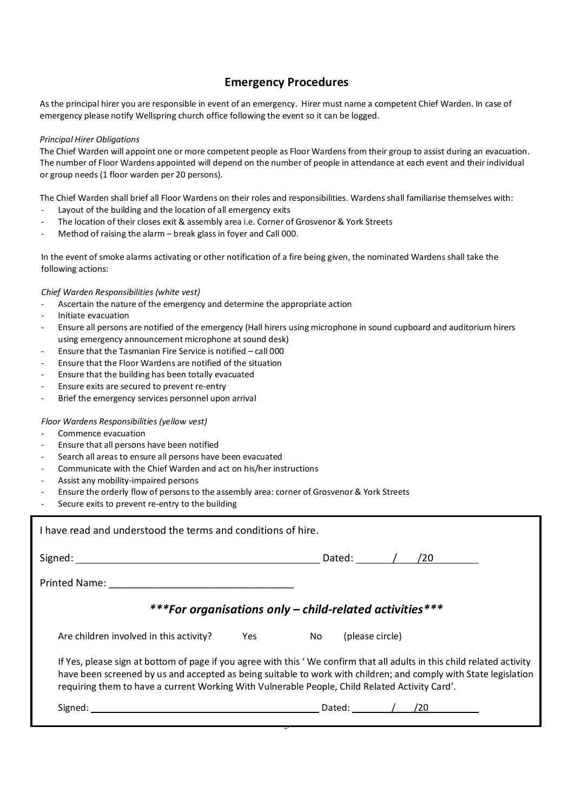# **Emergency Procedures**

As the principal hirer you are responsible in event of an emergency. Hirer must name a competent Chief Warden. In case of emergency please notify Wellspring church office following the event so it can be logged.

#### *Principal Hirer Obligations*

The Chief Warden will appoint one or more competent people as Floor Wardens from their group to assist during an evacuation. The number of Floor Wardens appointed will depend on the number of people in attendance at each event and their individual or group needs (1 floor warden per 20 persons).

The Chief Warden shall brief all Floor Wardens on their roles and responsibilities. Wardens shall familiarise themselves with:

- Layout of the building and the location of all emergency exits
- The location of their closes exit & assembly area i.e. Corner of Grosvenor & York Streets
- Method of raising the alarm break glass in foyer and Call 000.

In the event of smoke alarms activating or other notification of a fire being given, the nominated Wardens shall take the following actions:

#### *Chief Warden Responsibilities (white vest)*

- Ascertain the nature of the emergency and determine the appropriate action
- Initiate evacuation
- Ensure all persons are notified of the emergency (Hall hirers using microphone in sound cupboard and auditorium hirers using emergency announcement microphone at sound desk)
- Ensure that the Tasmanian Fire Service is notified call 000
- Ensure that the Floor Wardens are notified of the situation
- Ensure that the building has been totally evacuated
- Ensure exits are secured to prevent re-entry
- Brief the emergency services personnel upon arrival

#### *Floor Wardens Responsibilities (yellow vest)*

- Commence evacuation
- Ensure that all persons have been notified
- Search all areas to ensure all persons have been evacuated
- Communicate with the Chief Warden and act on his/her instructions
- Assist any mobility-impaired persons
- Ensure the orderly flow of persons to the assembly area: corner of Grosvenor & York Streets
- Secure exits to prevent re-entry to the building

| I have read and understood the terms and conditions of hire.                                                                                                                                                                                                                                                                                  |                        |  |  |  |                   |
|-----------------------------------------------------------------------------------------------------------------------------------------------------------------------------------------------------------------------------------------------------------------------------------------------------------------------------------------------|------------------------|--|--|--|-------------------|
|                                                                                                                                                                                                                                                                                                                                               |                        |  |  |  | Dated: / /20      |
|                                                                                                                                                                                                                                                                                                                                               |                        |  |  |  |                   |
| ***For organisations only – child-related activities***                                                                                                                                                                                                                                                                                       |                        |  |  |  |                   |
| Are children involved in this activity?                                                                                                                                                                                                                                                                                                       | Yes No (please circle) |  |  |  |                   |
| If Yes, please sign at bottom of page if you agree with this 'We confirm that all adults in this child related activity<br>have been screened by us and accepted as being suitable to work with children; and comply with State legislation<br>requiring them to have a current Working With Vulnerable People, Child Related Activity Card'. |                        |  |  |  |                   |
|                                                                                                                                                                                                                                                                                                                                               |                        |  |  |  | Dated: / / / / 20 |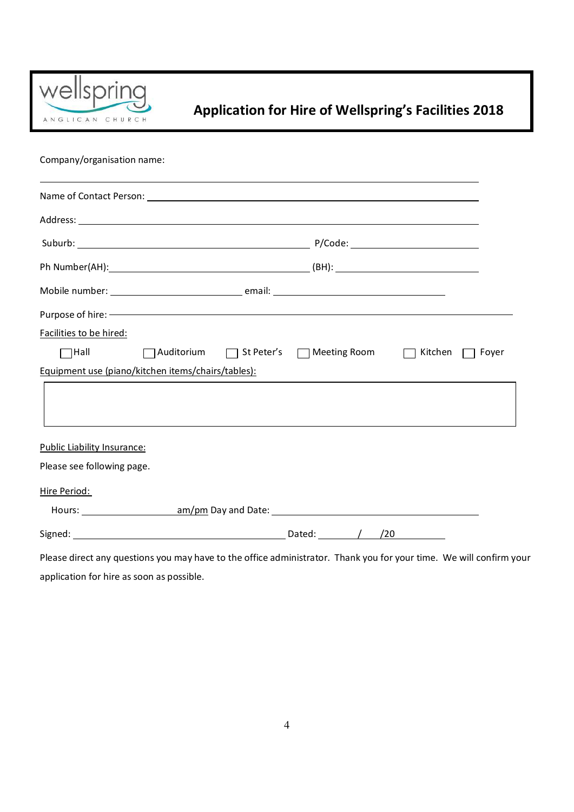

# **Application for Hire of Wellspring's Facilities 2018**

Company/organisation name:

| Facilities to be hired:            |                                                    |                                          |         |       |
|------------------------------------|----------------------------------------------------|------------------------------------------|---------|-------|
| $\Box$ Hall                        |                                                    | △ Auditorium △ St Peter's △ Meeting Room | Kitchen | Foyer |
|                                    | Equipment use (piano/kitchen items/chairs/tables): |                                          |         |       |
|                                    |                                                    |                                          |         |       |
|                                    |                                                    |                                          |         |       |
| <b>Public Liability Insurance:</b> |                                                    |                                          |         |       |
| Please see following page.         |                                                    |                                          |         |       |
| Hire Period:                       |                                                    |                                          |         |       |
|                                    |                                                    |                                          |         |       |
|                                    |                                                    | Dated: $\sqrt{ }$<br>/20                 |         |       |

Please direct any questions you may have to the office administrator. Thank you for your time. We will confirm your application for hire as soon as possible.